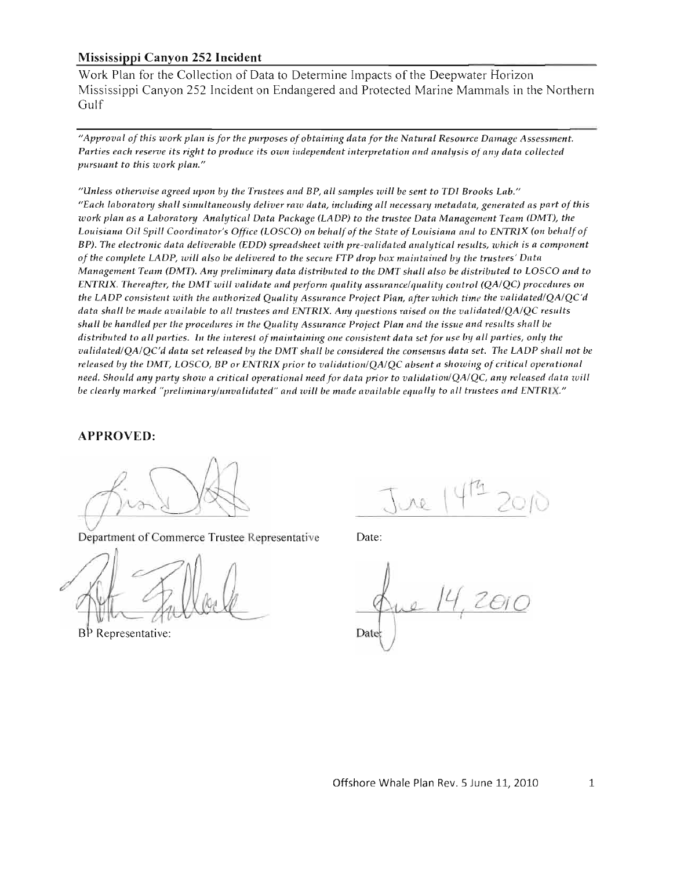### **Mississippi Canyon 252 Incident**

Work Plan for the Collection of Data to Determine Impacts of the Deepwater Horizon Mississippi Canyon 252 Incident on Endangered and Protected Marine Mammals in the Northern Gulf

*"Approval of this work plan is for the purposes of obtaining data for the Natural Resource Damage Assessment. Parties each reserve its right to produce its own independent interpretation and analysis of any data collected pursuant to this work plan."* 

*"Unless otherwise agreed upon by the Trustees and BP, all samples will be sent to TDI Brooks Lab." "Each laboratory shall simultaneously deliver raw data, including all necessanj metadata, generated as part of this work plan as a Laboratory Analytical Data Package (LADP)* to *the trustee Data Management Team (DMT), the*  Louisiana Oil Spill Coordinator's Office (LOSCO) on behalf of the State of Louisiana and to ENTRIX (on behalf of *BP). The electronic data deliverable (EDD) spreadsheet with pre-validated analytical results, which is a component of the complete LADP, will also be delivered to the secure* ITP *drop box maintained by the trustees' Data Management Team (DMT). Any preliminanj data distributed to the DMT shall also be distributed to LaSCO and* to *ENTRlX. Thereafter, the DMT will validate and perfonn quality assurancelquality control (QAIQC) procedures on the LADP consistent with the authorized Qualittj Assurance Project Plait, after which time the validatedlQAIQC'd data shall be made available to all trustees and ENTRIX. Any questions raised on the validated/OA/OC results shall be handled per the procedures in the Quality Assurance Project Plan and the issue and results shall be distributed to all parties. In the interest of maintaining one consistent data set for use by all parties, only the validated/QA/QC'd data set released by the DMT shall be considered the consensus data set. The LADP shall not be released by the DMT, LaSCO,* BP *or ENTRlX prior to validationlQAIQC absent a showing of critical operational need. Should any party show a critical operational need for data prior to validationlQAIQC, any released data will be clearly marked "preliminanjlunvalidated" and will be made available equally to all trustees and ENTRIX."* 

### **APPROVED:**

Department of Commerce Trustee Representative Date:

BP Representative:

 $\wedge \wedge$ 

2010 Date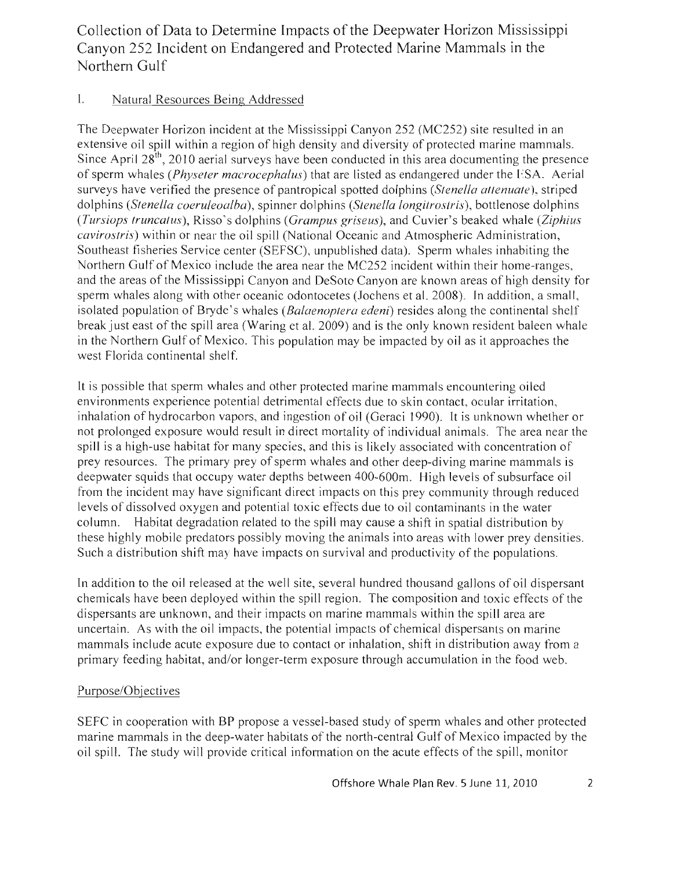Collection of Data to Determine Impacts of the Deepwater Horizon Mississippi Canyon 252 Incident on Endangered and Protected Marine Mammals in the Northern Gulf

# I. Natural Resources Being Addressed

The Deepwater Horizon incident at the Mississippi Canyon 252 (MC252) site resulted in an extensive oil spill within a region of high density and diversity of protected marine mammals. Since April  $28<sup>th</sup>$ , 2010 aerial surveys have been conducted in this area documenting the presence of sperm whales *(Physeler macrocephalus)* that are listed as endangered under the ESA. Aerial surveys have verified the presence of pantropical spotted dolphins *(Stenella attenuate),* striped dolphins *(Stenella coerufeoalba),* spinner dolphins *(Stenelfa longilroslris),* bottlenose dolphins *(Tursiops truncalus),* Risso's dolphins *(Grampus griseus),* and Cuvier's beaked whale *(Ziphius cavirostris)* within or near the oil spill (National Oceanic and Atmospheric Administration, Southeast fisheries Service center (SEFSC), unpublished data). Sperm whales inhabiting the Northern Gulf of Mexico include the area near the MC252 incident within their home-ranges, and the areas of the Mississippi Canyon and DeSoto Canyon are known areas of high density for sperm whales along with other oceanic odontocetes (Jochens et al. 2008). In addition, a small, isolated population of Bryde's whales *(Baiaenoplera edeni)* resides along the continental shelf break just east of the spill area (Waring et al. 2009) and is the only known resident baleen whale in the Northern Gulf of Mexico. This population may be impacted by oil as it approaches the west Florida continental shelf.

It is possible that sperm whales and other protected marine mammals encountering oiled environments experience potential detrimental effects due to skin contact, ocular irritation, inhalation of hydrocarbon vapors, and ingestion of oil (Geraci 1990). It is unknown whether or not prolonged exposure would result in direct mortality of individual animals. The area near the spill is a high-use habitat for many species, and this is likely associated with concentration of prey resources. The primary prey of sperm whales and other deep-diving marine mammals is deepwater squids that occupy water depths between 400-600m. High levels of subsurface oil from the incident may have significant direct impacts on this prey community through reduced levels of dissolved oxygen and potential toxic effects due to oil contaminants in the water column. Habitat degradation related to the spill may cause a shift in spatial distribution by these highly mobile predators possibly moving the animals into areas with lower prey densities. Such a distribution shift may have impacts on survival and productivity of the populations.

In addition to the oil released at the well site, several hundred thousand gallons of oil dispersant chemicals have been deployed within the spill region. The composition and toxic effects of the dispersants are unknown, and their impacts on marine mammals within the spill area are uncertain. As with the oil impacts, the potential impacts of chemical dispersants on marine mammals include acute exposure due to contact or inhalation, shift in distribution away from a primary feeding habitat, and/or longer-term exposure through accumulation in the food web.

### Purpose/Objectives

SEFC in cooperation with BP propose a vessel-based study of sperm whales and other protected marine mammals in the deep-water habitats of the north-central Gulf of Mexico impacted by the oil spill. The study will provide critical information on the acute effects of the spill, monitor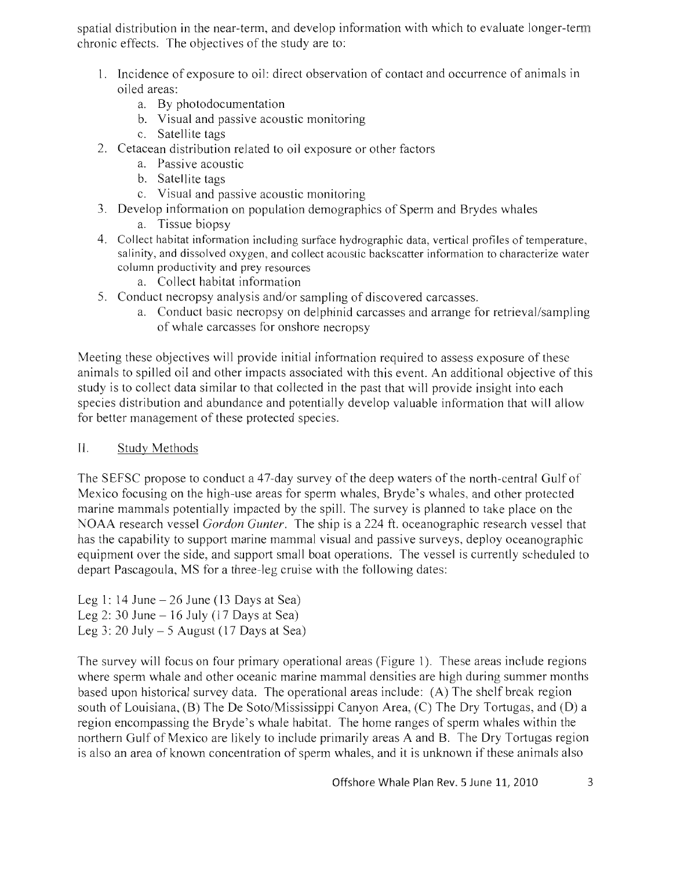spatial distribution in the near-term, and develop information with which to evaluate longer-term chronic effects. The objectives of the study are to:

- 1. Incidence of exposure to oil: direct observation of contact and occurrence of animals in oiled areas:
	- a. By photodocumentation
	- b. Visual and passive acoustic monitoring
	- c. Satellite tags
- 2. Cetacean distribution related to oil exposure or other factors
	- a. Passive acoustic
	- b. Satellite tags
	- c. Visual and passive acoustic monitoring
- 3. Develop information on population demographics of Sperm and Brydes whales
	- a. Tissue biopsy
- 4. Collect habitat information including surface hydrographic data, vertical profiles of temperature, salinity, and dissolved oxygen, and collect acoustic backscatter information to characterize water column productivity and prey resources
	- a. Collect habitat information
- 5. Conduct necropsy analysis and/or sampling of discovered carcasses.
	- a. Conduct basic necropsy on delphinid carcasses and arrange for retrieval/sampling of whale carcasses for onshore necropsy

Meeting these objectives will provide initial information required to assess exposure of these animals to spilled oil and other impacts associated with this event. An additional objective of this study is to collect data similar to that collected in the past that will provide insight into each species distribution and abundance and potentially develop valuable information that will allow for better management of these protected species.

### II. Study Methods

The SEFSC propose to conduct a 47-day survey of the deep waters of the north-central Gulf of Mexico focusing on the high-use areas for sperm whales, Bryde's whales, and other protected marine mammals potentially impacted by the spill. The survey is planned to take place on the NOAA research vessel *Gordon Gunter.* The ship is a 224 ft. oceanographic research vessel that has the capability to support marine mammal visual and passive surveys, deploy oceanographic equipment over the side, and support small boat operations. The vessel is currently scheduled to depart Pascagoula, MS for a three-leg cruise with the following dates:

Leg 1: 14 June  $-26$  June (13 Days at Sea) Leg 2: 30 June  $-16$  July (17 Days at Sea) Leg 3: 20 July  $-5$  August (17 Days at Sea)

The survey will focus on four primary operational areas (Figure 1). These areas include regions where sperm whale and other oceanic marine mammal densities are high during summer months based upon historical survey data. The operational areas include: (A) The shelf break region south of Louisiana, (B) The De Soto/Mississippi Canyon Area, (C) The Dry Tortugas, and (D) a region encompassing the Bryde's whale habitat. The home ranges of sperm whales within the northern Gulf of Mexico are likely to include primarily areas A and B. The Dry Tortugas region is also an area of known concentration of sperm whales, and it is unknown if these animals also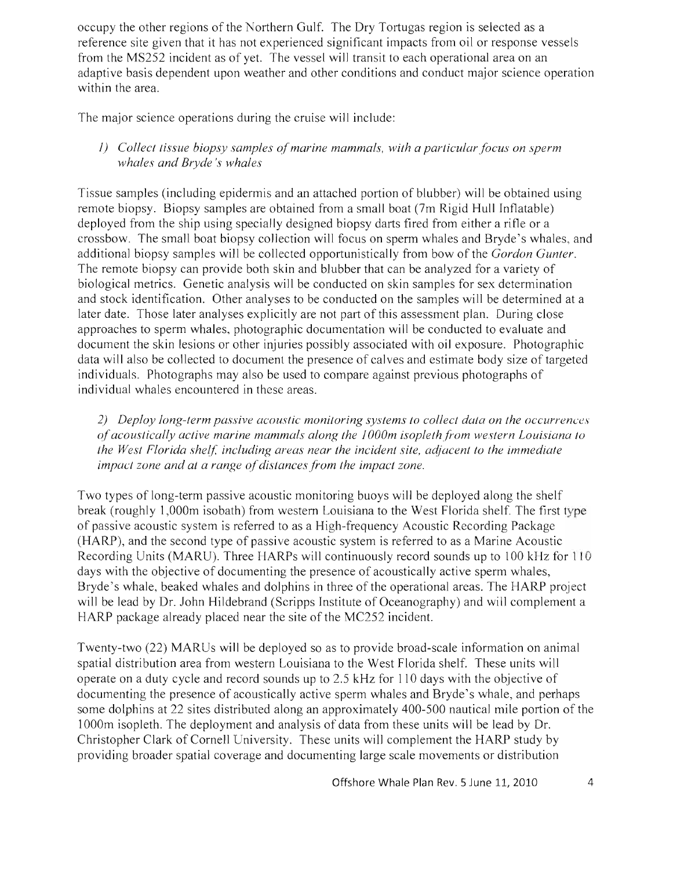occupy the other regions of the Northern Gulf. The Dry Tortugas region is selected as a reference site given that it has not experienced significant impacts from oil or response vessels from the MS252 incident as of yet. The vessel will transit to each operational area on an adaptive basis dependent upon weather and other conditions and conduct major science operation within the area.

The major science operations during the cruise will include:

*1) Collect tissue biopsy samples of marine mammals, with a particular focus on sperm whales and Bryde* 's *whales* 

Tissue samples (including epidermis and an attached portion of blubber) will be obtained using remote biopsy. Biopsy samples are obtained from a small boat (7m Rigid Hull Inflatable) deployed from the ship using specially designed biopsy darts fired from either a rifle or a crossbow. The small boat biopsy collection will focus on sperm whales and Bryde's whales, and additional biopsy samples will be collected opportunistically from bow of the *Gordon Gunter.*  The remote biopsy can provide both skin and blubber that can be analyzed for a variety of biological metrics. Genetic analysis will be conducted on skin samples for sex determination and stock identification. Other analyses to be conducted on the samples will be determined at a later date. Those later analyses explicitly are not part of this assessment plan. During close approaches to sperm whales, photographic documentation will be conducted to evaluate and document the skin lesions or other injuries possibly associated with oil exposure. Photographic data will also be collected to document the presence of calves and estimate body size of targeted individuals. Photographs may also be used to compare against previous photographs of individual whales encountered in these areas.

*2) Deploy long-term passive acoustic monitoring systems to collect data on the occurrences of acoustically active marine mammals along the 1000m isopleth from western Louisiana to the West Florida shelf, including areas near the incident site, adjacent to the immediate impact zone and at a range of distances from the impact zone.* 

Two types of long-term passive acoustic monitoring buoys will be deployed along the shelf break (roughly 1,000m isobath) from western Louisiana to the West Florida shelf. The first type of passive acoustic system is referred to as a High-frequency Acoustic Recording Package (HARP), and the second type of passive acoustic system is referred to as a Marine Acoustic Recording Units (MARU). Three HARPs will continuously record sounds up to 100 kHz for 110 days with the objective of documenting the presence of acoustically active sperm whales, Bryde's whale, beaked whales and dolphins in three of the operational areas. The HARP project will be lead by Dr. John Hildebrand (Scripps Institute of Oceanography) and will complement a HARP package already placed near the site of the MC252 incident.

Twenty-two (22) MARUs will be deployed so as to provide broad-scale information on animal spatial distribution area from western Louisiana to the West Florida shelf. These units will operate on a duty cycle and record sounds up to 2.5 kHz for 110 days with the objective of documenting the presence of acoustically active sperm whales and Bryde's whale, and perhaps some dolphins at 22 sites distributed along an approximately 400-500 nautical mile portion of the 1000m isopleth. The deployment and analysis of data from these units will be lead by Dr. Christopher Clark of Cornell University. These units will complement the HARP study by providing broader spatial coverage and documenting large scale movements or distribution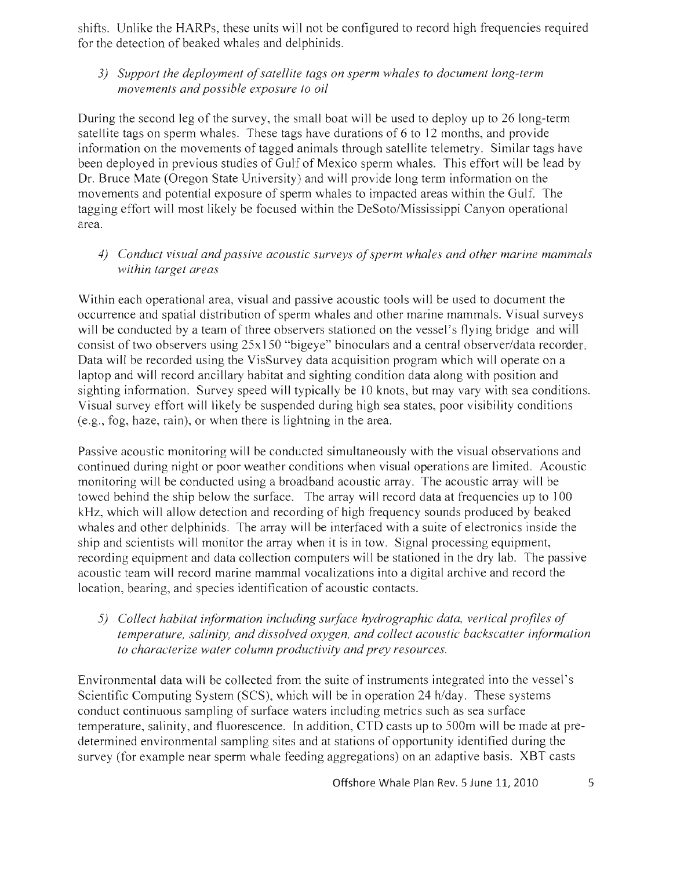shifts. Unlike the HARPs, these units will not be configured to record high frequencies required for the detection of beaked whales and delphinids.

### *3) Support the deployment of satellite tags on sperm whales to document long-term movements and possible exposure to oil*

During the second leg of the survey, the small boat will be used to deploy up to 26 long-term satellite tags on sperm whales. These tags have durations of 6 to 12 months, and provide information on the movements of tagged animals through satellite telemetry. Similar tags have been deployed in previous studies of Gulf of Mexico sperm whales. This effort will be lead by Dr. Bruce Mate (Oregon State University) and will provide long term information on the movements and potential exposure of sperm whales to impacted areas within the Gulf. The tagging effort will most likely be focused within the DeSoto/Mississippi Canyon operational area.

*4) Conduct visual and passive acoustic surveys of sperm whales and other marine mammals within target areas* 

Within each operational area, visual and passive acoustic tools will be used to document the occurrence and spatial distribution of sperm whales and other marine mammals. Visual surveys will be conducted by a team of three observers stationed on the vessel's flying bridge and will consist of two observers using 25x 150 "bigeye" binoculars and a central observer/data recorder. Data will be recorded using the VisSurvey data acquisition program which will operate on a laptop and will record ancillary habitat and sighting condition data along with position and sighting information. Survey speed will typically be 10 knots, but may vary with sea conditions. Visual survey effort will likely be suspended during high sea states, poor visibility conditions (e.g. , fog, haze, rain), or when there is lightning in the area.

Passive acoustic monitoring will be conducted simultaneously with the visual observations and continued during night or poor weather conditions when visual operations are limited. Acoustic monitoring will be conducted using a broadband acoustic array. The acoustic array will be towed behind the ship below the surface. The array will record data at frequencies up to 100 kHz, which will allow detection and recording of high frequency sounds produced by beaked whales and other delphinids. The array will be interfaced with a suite of electronics inside the ship and scientists will monitor the array when it is in tow. Signal processing equipment, recording equipment and data collection computers will be stationed in the dry lab. The passive acoustic team will record marine mammal vocalizations into a digital archive and record the location, bearing, and species identification of acoustic contacts.

*5) Collect habitat information including surface hydrographic data, vertical profiles of temperature, salinity, and dissolved oxygen, and collect acoustic backscatter information to characterize water column productivity and prey resources.* 

Environmental data will be collected from the suite of instruments integrated into the vessel's Scientific Computing System (SCS), which will be in operation 24 h/day. These systems conduct continuous sampling of surface waters including metrics such as sea surface temperature, salinity, and fluorescence. In addition, CTD casts up to 500m will be made at predetermined environmental sampling sites and at stations of opportunity identified during the survey (for example near sperm whale feeding aggregations) on an adaptive basis. XBT casts

Offshore Whale Plan Rev. 5 June 11, 2010 5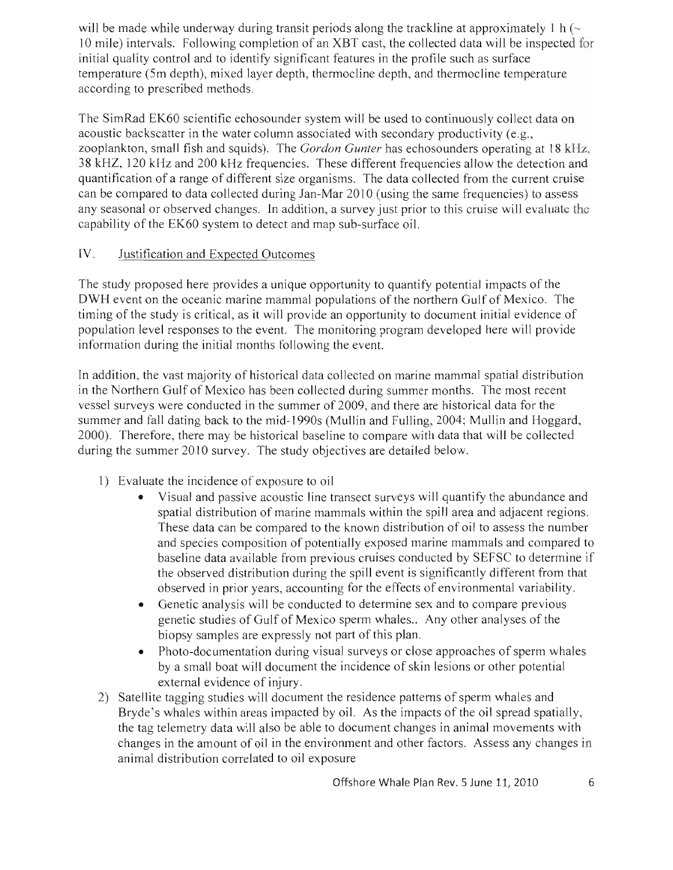will be made while underway during transit periods along the trackline at approximately 1 h  $\sim$ 10 mile) intervals. Following completion of an XBT cast, the collected data will be inspected for initial quality control and to identify significant features in the profile such as surface temperature (Sm depth), mixed layer depth, thermocline depth, and thermocline temperature according to prescribed methods.

The SimRad EK60 scientific echosounder system will be used to continuously collect data on acoustic backscatter in the water column associated with secondary productivity (e.g., zooplankton, small fish and squids). The *Gordon Gunter* has echosounders operating at 18 kHz, 38 kHZ, 120 kHz and 200 kHz frequencies. These different frequencies allow the detection and quantification of a range of different size organisms. The data collected from the current cruise can be compared to data collected during Jan-Mar 2010 (using the same frequencies) to assess any seasonal or observed changes. In addition, a survey just prior to this cruise will evaluate the capability of the EK60 system to detect and map sub-surface oil.

# IV. Justification and Expected Outcomes

The study proposed here provides a unique opportunity to quantify potential impacts of the DWH event on the oceanic marine mammal populations of the northern Gulf of Mexico. The timing of the study is critical, as it will provide an opportunity to document initial evidence of population level responses to the event. The monitoring program developed here will provide information during the initial months following the event.

In addition, the vast majority of historical data collected on marine mammal spatial distribution in the Northern Gulf of Mexico has been collected during summer months. The most recent vessel surveys were conducted in the summer of 2009, and there are historical data for the summer and fall dating back to the mid-1990s (Mullin and Fulling, 2004; Mullin and Hoggard, 2000). Therefore, there may be historical baseline to compare with data that will be collected during the summer 2010 survey. The study objectives are detailed below.

- 1) Evaluate the incidence of exposure to oil
	- Visual and passive acoustic line transect surveys will quantify the abundance and spatial distribution of marine mammals within the spill area and adjacent regions. These data can be compared to the known distribution of oil to assess the number and species composition of potentially exposed marine mammals and compared to baseline data available from previous cruises conducted by SEFSC to determine if the observed distribution during the spill event is significantly different from that observed in prior years, accounting for the effects of environmental variability.
	- Genetic analysis will be conducted to determine sex and to compare previous genetic studies of Gulf of Mexico sperm whales.. Any other analyses of the biopsy samples are expressly not part of this plan.
	- Photo-documentation during visual surveys or close approaches of sperm whales by a small boat will document the incidence of skin lesions or other potential external evidence of injury.
- 2) Satellite tagging studies will document the residence patterns of sperm whales and Bryde's whales within areas impacted by oil. As the impacts of the oil spread spatially, the tag telemetry data will also be able to document changes in animal movements with changes in the amount of oil in the environment and other factors. Assess any changes in animal distribution correlated to oil exposure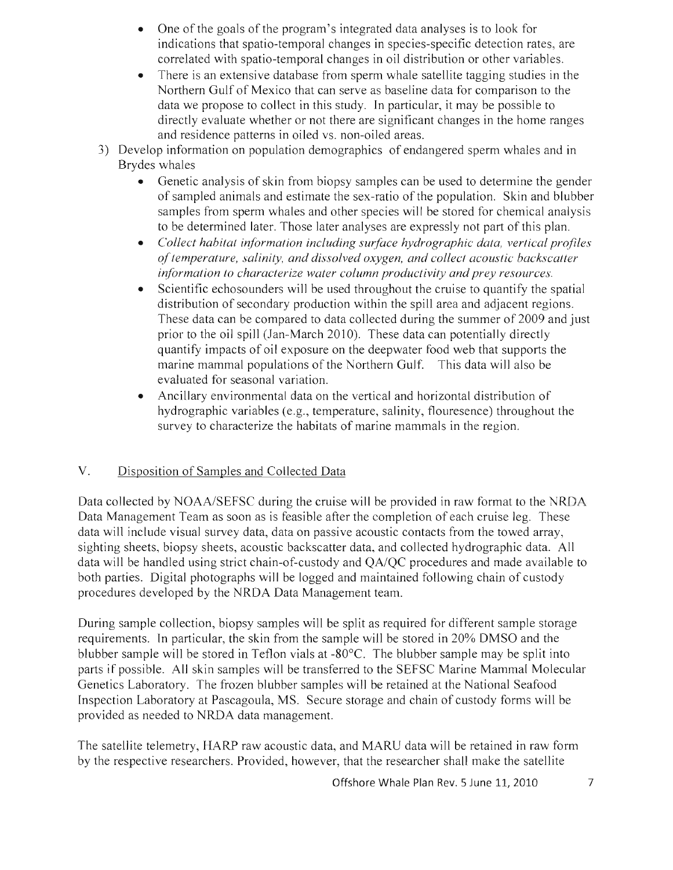- One of the goals of the program's integrated data analyses is to look for indications that spatio-temporal changes in species-specific detection rates, are correlated with spatio-temporal changes in oil distribution or other variables.
- There is an extensive database from sperm whale satellite tagging studies in the Northern Gulf of Mexico that can serve as baseline data for comparison to the data we propose to collect in this study. In particular, it may be possible to directly evaluate whether or not there are significant changes in the home ranges and residence patterns in oiled vs. non-oiled areas.
- 3) Develop information on population demographics of endangered sperm whales and in Brydes whales
	- Genetic analysis of skin from biopsy samples can be used to determine the gender of sampled animals and estimate the sex-ratio of the population. Skin and blubber samples from sperm whales and other species will be stored for chemical analysis to be determined later. Those later analyses are expressly not part of this plan.
	- *Collect habitat information including surface hydrographic data, vertical profiles of temperature, salinity, and dissolved oxygen, and collect acoustic backscatter information to characterize water column productivity and prey resources.*
	- Scientific echosounders will be used throughout the cruise to quantify the spatial distribution of secondary production within the spill area and adjacent regions. These data can be compared to data collected during the summer of 2009 and just prior to the oil spill (Jan-March 2010). These data can potentially directly quantify impacts of oil exposure on the deepwater food web that supports the marine mammal populations of the Northern Gulf. This data will also be evaluated for seasonal variation.
	- Ancillary environmental data on the vertical and horizontal distribution of hydrographic variables (e.g., temperature, salinity, flouresence) throughout the survey to characterize the habitats of marine mammals in the region.

# V. Disposition of Samples and Collected Data

Data collected by *NOAA/SEFSC* during the cruise will be provided in raw format to the NRDA Data Management Team as soon as is feasible after the completion of each cruise leg. These data will include visual survey data, data on passive acoustic contacts from the towed array, sighting sheets, biopsy sheets, acoustic backscatter data, and collected hydrographic data. All data will be handled using strict chain-of-custody and *QA/QC* procedures and made available to both parties. Digital photographs will be logged and maintained following chain of custody procedures developed by the NRDA Data Management team.

During sample collection, biopsy samples will be split as required for different sample storage requirements. In particular, the skin from the sample will be stored in 20% DMSO and the blubber sample will be stored in Teflon vials at  $-80^{\circ}$ C. The blubber sample may be split into parts if possible. All skin samples will be transferred to the SEFSC Marine Mammal Molecular Genetics Laboratory. The frozen blubber samples will be retained at the National Seafood Inspection Laboratory at Pascagoula, MS. Secure storage and chain of custody forms will be provided as needed to NRDA data management.

The satellite telemetry, HARP raw acoustic data, and MARU data will be retained in raw form by the respective researchers. Provided, however, that the researcher shall make the satellite

Offshore Whale Plan Rev. 5 June 11, 2010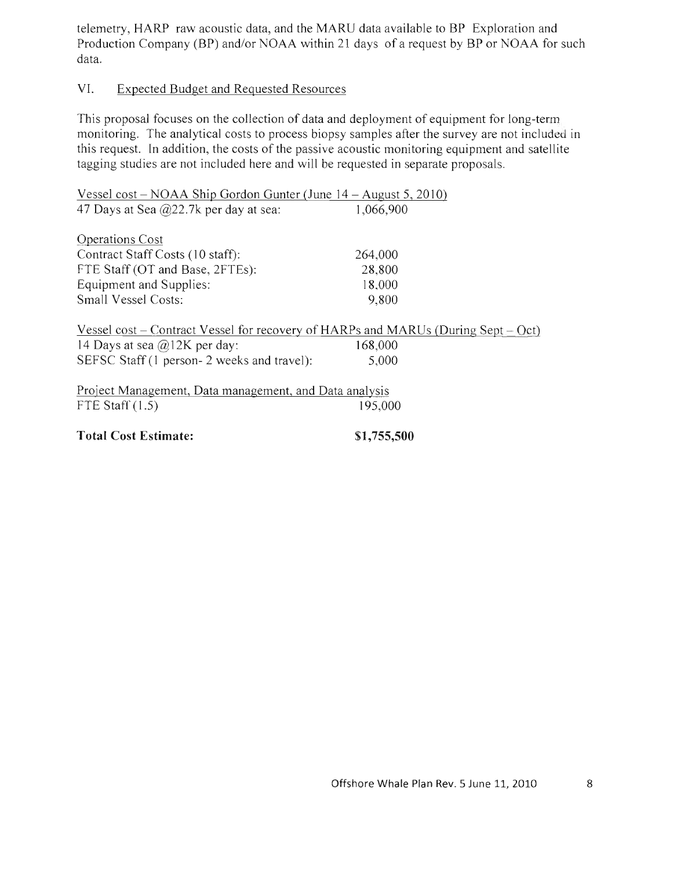telemetry, HARP raw acoustic data, and the MARU data available to BP Exploration and Production Company (BP) and/or NOAA within 21 days of a request by BP or NOAA for such data.

### VI. Expected Budget and Requested Resources

This proposal focuses on the collection of data and deployment of equipment for long-term monitoring. The analytical costs to process biopsy samples after the survey are not included in this request. **In** addition, the costs of the passive acoustic monitoring equipment and satellite tagging studies are not included here and will be requested in separate proposals.

| Vessel cost – NOAA Ship Gordon Gunter (June $14$ – August 5, 2010)                       |           |  |
|------------------------------------------------------------------------------------------|-----------|--|
| 47 Days at Sea $\omega$ 22.7k per day at sea:                                            | 1,066,900 |  |
| Operations Cost                                                                          |           |  |
| Contract Staff Costs (10 staff):                                                         | 264,000   |  |
| FTE Staff (OT and Base, 2FTEs):                                                          | 28,800    |  |
| Equipment and Supplies:                                                                  | 18,000    |  |
| Small Vessel Costs:                                                                      | 9,800     |  |
| <u>Vessel cost</u> – Contract Vessel for recovery of HARPs and MARUs (During Sept – Oct) |           |  |
| 14 Days at sea $\omega$ 12K per day:                                                     | 168,000   |  |
| SEFSC Staff (1 person- 2 weeks and travel):                                              | 5,000     |  |
| Project Management, Data management, and Data analysis                                   |           |  |
| FTE Staff $(1.5)$                                                                        | 195,000   |  |
|                                                                                          |           |  |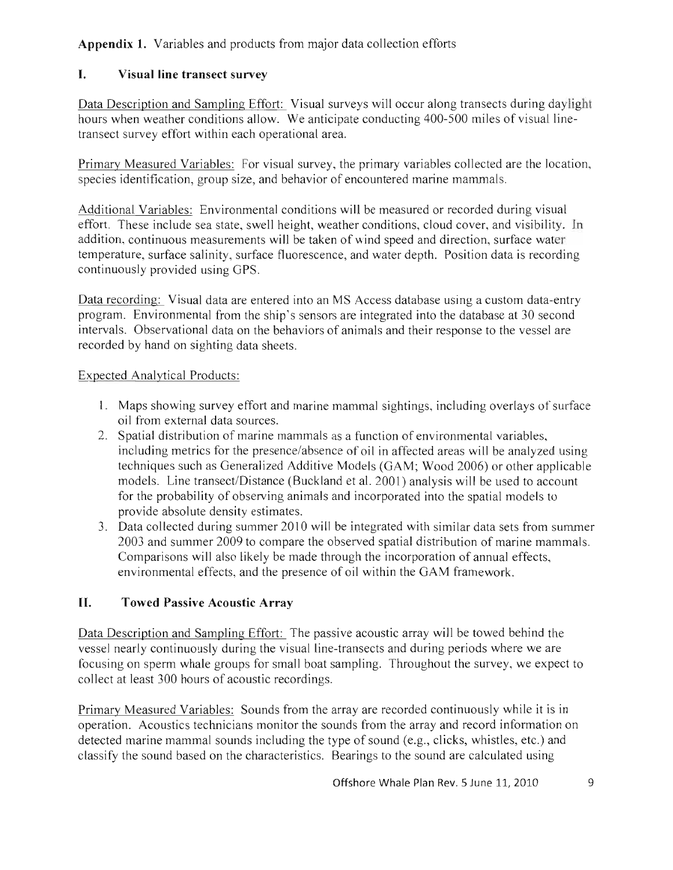# **Appendix 1.** Variables and products from major data collection efforts

# **I.** Visual line **transect survey**

Data Description and Sampling Effort: Visual surveys will occur along transects during daylight hours when weather conditions allow. We anticipate conducting 400-500 miles of visual linetransect survey effort within each operational area.

Primary Measured Variables: For visual survey, the primary variables collected are the location, species identification, group size, and behavior of encountered marine mammals.

Additional Variables: Environmental conditions will be measured or recorded during visual effort. These include sea state, swell height, weather conditions, cloud cover, and visibility. **In**  addition, continuous measurements will be taken of wind speed and direction, surface water temperature, surface salinity, surface fluorescence, and water depth. Position data is recording continuously provided using GPS.

Data recording: Visual data are entered into an MS Access database using a custom data-entry program. Environmental from the ship's sensors are integrated into the database at 30 second intervals. Observational data on the behaviors of animals and their response to the vessel are recorded by hand on sighting data sheets.

# Expected Analytical Products:

- 1. Maps showing survey effort and marine mammal sightings, including overlays of surface oil from external data sources.
- 2. Spatial distribution of marine mammals as a function of environmental variables, including metrics for the presence/absence of oil in affected areas will be analyzed using techniques such as Generalized Additive Models (GAM; Wood 2006) or other applicable models. Line transect/Distance (Buckland et al. 2001) analysis will be used to account for the probability of observing animals and incorporated into the spatial models to provide absolute density estimates.
- 3. Data collected during summer 2010 will be integrated with similar data sets from summer 2003 and summer 2009 to compare the observed spatial distribution of marine mammals. Comparisons will also likely be made through the incorporation of annual effects, environmental effects, and the presence of oil within the GAM framework .

# **II. Towed Passive Acoustic Array**

Data Description and Sampling Effort: The passive acoustic array will be towed behind the vessel nearly continuously during the visual line-transects and during periods where we are focusing on sperm whale groups for small boat sampling. Throughout the survey, we expect to collect at least 300 hours of acoustic recordings.

Primary Measured Variables: Sounds from the array are recorded continuously while it is in operation. Acoustics technicians monitor the sounds from the array and record information on detected marine mammal sounds including the type of sound (e.g., clicks, whistles, etc.) and classify the sound based on the characteristics. Bearings to the sound are calculated using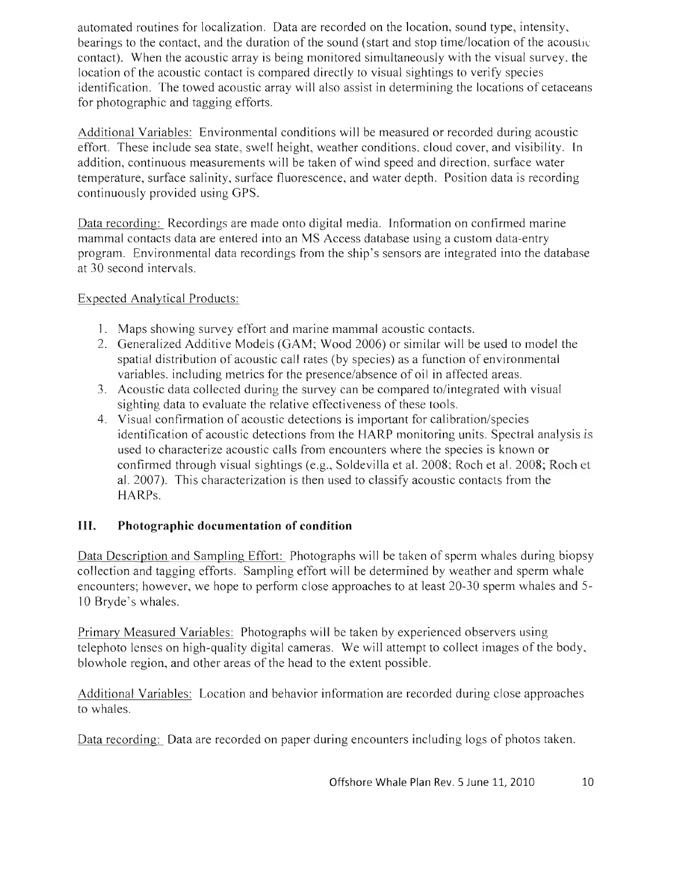automated routines for localization. Data are recorded on the location, sound type, intensity, bearings to the contact, and the duration of the sound (start and stop time/location of the acoustic contact). When the acoustic array is being monitored simultaneously with the visual survey, the location of the acoustic contact is compared directly to visual sightings to verify species identification. The towed acoustic array will also assist in determining the locations of cetaceans for photographic and tagging efforts.

Additional Variables: Environmental conditions will be measured or recorded during acoustic effort. These include sea state, swell height, weather conditions, cloud cover, and visibility. In addition, continuous measurements will be taken of wind speed and direction, surface water temperature, surface salinity, surface fluorescence, and water depth. Position data is recording continuously provided using GPS.

Data recording: Recordings are made onto digital media. Information on confirmed marine mammal contacts data are entered into an MS Access database using a custom data-entry program. Environmental data recordings from the ship's sensors are integrated into the database at 30 second intervals.

## Expected Analytical Products:

- 1. Maps showing survey effort and marine mammal acoustic contacts.
- 2. Generalized Additive Models (GAM; Wood 2006) or similar will be used to model the spatial distribution of acoustic call rates (by species) as a function of environmental variables, including metrics for the presence/absence of oil in affected areas.
- 3. Acoustic data collected during the survey can be compared to/integrated with visual sighting data to evaluate the relative effectiveness of these tools.
- 4. Visual confirmation of acoustic detections is important for calibration/species identification of acoustic detections from the HARP monitoring units. Spectral analysis is used to characterize acoustic calls from encounters where the species is known or confirmed through visual sightings (e.g., Soldevilla et al. 2008; Roch et al. 2008; Roch et al. 2007). This characterization is then used to classify acoustic contacts from the HARPs.

# **III. Photographic documentation of condition**

Data Description and Sampling Effort: Photographs will be taken of sperm whales during biopsy collection and tagging efforts. Sampling effort will be determined by weather and sperm whale encounters; however, we hope to perform close approaches to at least 20-30 sperm whales and 5- 10 Bryde's whales.

Primary Measured Variables: Photographs will be taken by experienced observers using telephoto lenses on high-quality digital cameras. We will attempt to collect images of the body, blowhole region, and other areas of the head to the extent possible.

Additional Variables: Location and behavior information are recorded during close approaches to whales.

Data recording: Data are recorded on paper during encounters including logs of photos taken.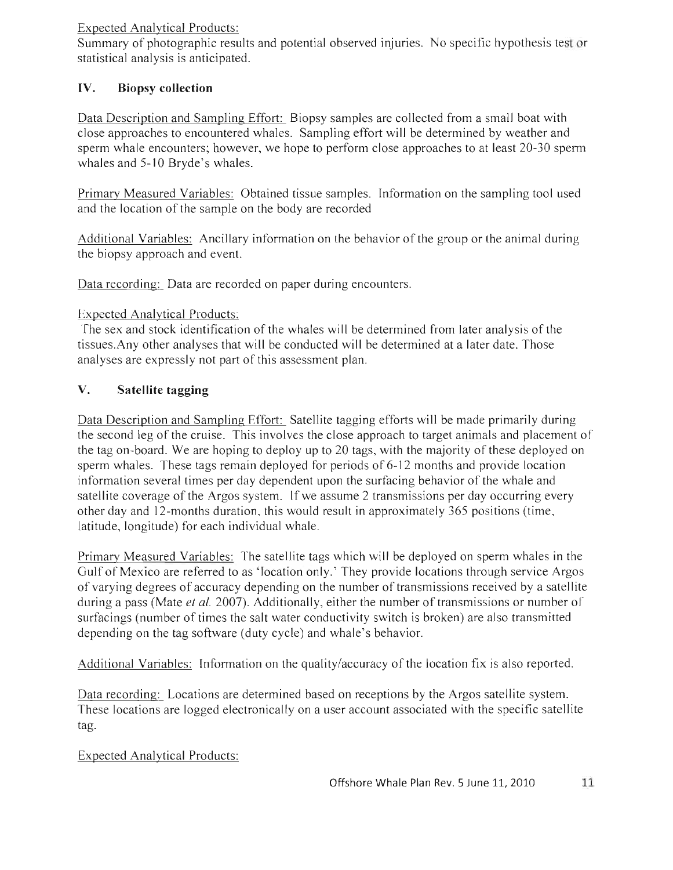### Expected Analytical Products:

Summary of photographic results and potential observed injuries. No specific hypothesis test or statistical analysis is anticipated.

# **IV. Biopsy collection**

Data Description and Sampling Effort: Biopsy samples are collected from a small boat with close approaches to encountered whales. Sampling effort will be determined by weather and sperm whale encounters; however, we hope to perform close approaches to at least 20-30 sperm whales and 5-10 Bryde's whales.

Primary Measured Variables: Obtained tissue samples. Information on the sampling tool used and the location of the sample on the body are recorded

Additional Variables: Ancillary information on the behavior of the group or the animal during the biopsy approach and event.

Data recording: Data are recorded on paper during encounters.

### Expected Analytical Products:

The sex and stock identification of the whales will be determined from later analysis of the tissues.Any other analyses that will be conducted will be determined at a later date. Those analyses are expressly not part of this assessment plan.

# **V. Satellite tagging**

Data Description and Sampling Effort: Satellite tagging efforts will be made primarily during the second leg of the cruise. This involves the close approach to target animals and placement of the tag on-board. We are hoping to deploy up to 20 tags, with the majority of these deployed on sperm whales. These tags remain deployed for periods of 6-12 months and provide location information several times per day dependent upon the surfacing behavior of the whale and satellite coverage of the Argos system. If we assume 2 transmissions per day occurring every other day and 12-months duration, this would result in approximately 365 positions (time, latitude, longitude) for each individual whale.

Primary Measured Variables: The satellite tags which will be deployed on sperm whales in the Gulf of Mexico are referred to as 'location only.' They provide locations through service Argos of varying degrees of accuracy depending on the number of transmissions received by a satellite during a pass (Mate *et al.* 2007). Additionally, either the number of transmissions or number of surfacings (number of times the salt water conductivity switch is broken) are also transmitted depending on the tag software (duty cycle) and whale's behavior.

Additional Variables: Information on the quality/accuracy of the location fix is also reported.

Data recording: Locations are determined based on receptions by the Argos satellite system. These locations are logged electronically on a user account associated with the specific satellite tag.

# Expected Analytical Products: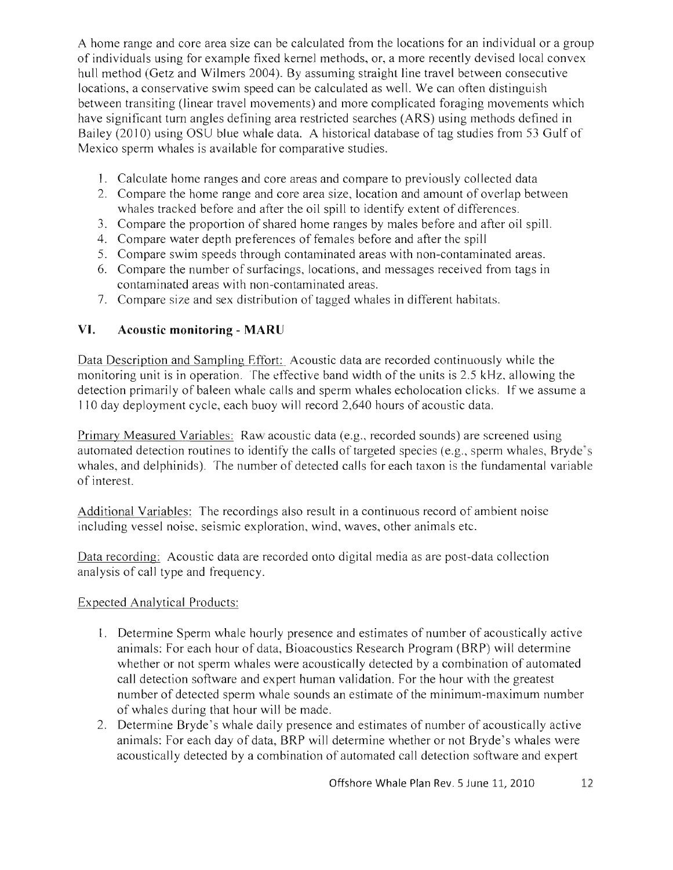A home range and core area size can be calculated from the locations for an individual or a group of individuals using for example fixed kernel methods, or, a more recently devised local convex hull method (Getz and Wilmers 2004). By assuming straight line travel between consecutive locations, a conservative swim speed can be calculated as well. We can often distinguish between transiting (linear travel movements) and more complicated foraging movements which have significant turn angles defining area restricted searches (ARS) using methods defined in Bailey (2010) using OSU blue whale data. A historical database of tag studies from 53 Gulf of Mexico sperm whales is available for comparative studies.

- 1. Calculate home ranges and core areas and compare to previously collected data
- 2. Compare the home range and core area size, location and amount of overlap between whales tracked before and after the oil spill to identify extent of differences.
- 3. Compare the proportion of shared home ranges by males before and after oil spill.
- 4. Compare water depth preferences of females before and after the spill
- 5. Compare swim speeds through contaminated areas with non-contaminated areas.
- 6. Compare the number of surfacings, locations, and messages received from tags in contaminated areas with non-contaminated areas.
- 7. Compare size and sex distribution of tagged whales in different habitats.

## **VI. Acoustic monitoring - MARU**

Data Description and Sampling Effort: Acoustic data are recorded continuously while the monitoring unit is in operation. The effective band width of the units is 2.5 kHz, allowing the detection primarily of baleen whale calls and sperm whales echolocation clicks. If we assume a 110 day deployment cycle, each buoy will record 2,640 hours of acoustic data.

Primary Measured Variables: Raw acoustic data (e.g., recorded sounds) are screened using automated detection routines to identify the calls of targeted species (e.g. , sperm whales, Bryde's whales, and delphinids). The number of detected calls for each taxon is the fundamental variable of interest.

Additional Variables: The recordings also result in a continuous record of ambient noise including vessel noise, seismic exploration, wind, waves, other animals etc.

Data recording: Acoustic data are recorded onto digital media as are post-data collection analysis of call type and frequency.

### Expected Analytical Products:

- 1. Determine Sperm whale hourly presence and estimates of number of acoustically active animals: For each hour of data, Bioacoustics Research Program (BRP) will determine whether or not sperm whales were acoustically detected by a combination of automated call detection software and expert human validation. For the hour with the greatest number of detected sperm whale sounds an estimate of the minimum-maximum number of whales during that hour will be made.
- 2. Determine Bryde's whale daily presence and estimates of number of acoustically active animals: For each day of data, BRP will determine whether or not Bryde's whales were acoustically detected by a combination of automated call detection software and expert

Offshore Whale Plan Rev. 5 June 11, 2010 12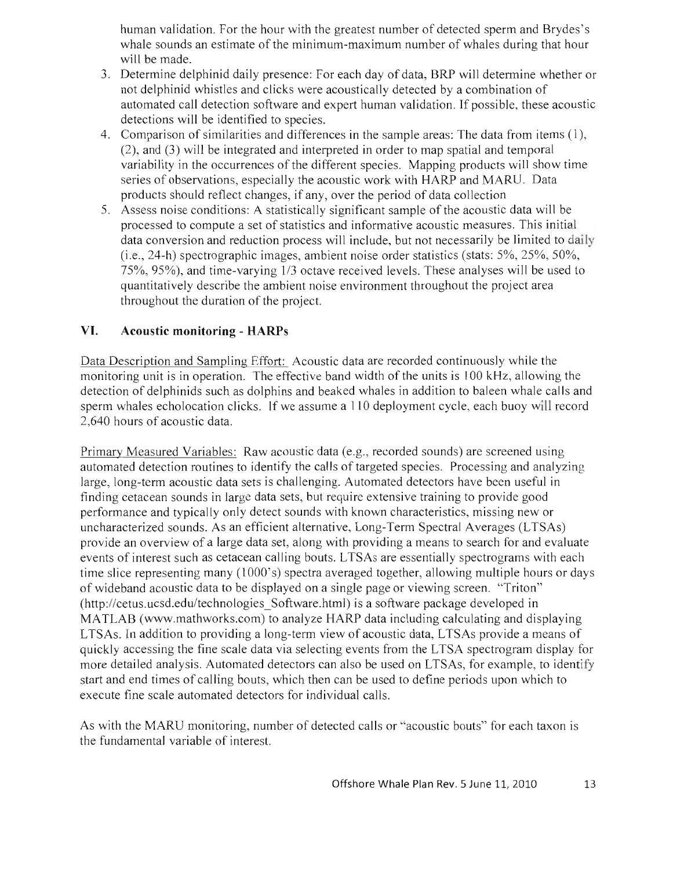human validation. For the hour with the greatest number of detected sperm and Brydes's whale sounds an estimate of the minimum-maximum number of whales during that hour will be made.

- 3. Determine delphinid daily presence: For each day of data, BRP will determine whether or not delphinid whistles and clicks were acoustically detected by a combination of automated call detection software and expert human validation. If possible, these acoustic detections will be identified to species.
- 4. Comparison of similarities and differences in the sample areas: The data from items (1), (2), and (3) will be integrated and interpreted in order to map spatial and temporal variability in the occurrences of the different species. Mapping products will show time series of observations, especially the acoustic work with HARP and MARU. Data products should reflect changes, if any, over the period of data collection
- 5. Assess noise conditions: A statistically significant sample of the acoustic data will be processed to compute a set of statistics and informative acoustic measures. This initial data conversion and reduction process will include, but not necessarily be limited to daily (i.e., 24-h) spectrographic images, ambient noise order statistics (stats: 5%, 25%, 50%, 75%, 95%), and time-varying 1/3 octave received levels. These analyses will be used to quantitatively describe the ambient noise environment throughout the project area throughout the duration of the project.

# **VI. Acoustic monitoring - HARPs**

Data Description and Sampling Effort: Acoustic data are recorded continuously while the monitoring unit is in operation. The effective band width of the units is 100 kHz, allowing the detection of delphinids such as dolphins and beaked whales in addition to baleen whale calls and sperm whales echolocation clicks. If we assume a 110 deployment cycle, each buoy will record 2,640 hours of acoustic data.

Primary Measured Variables: Raw acoustic data (e.g., recorded sounds) are screened using automated detection routines to identify the calls of targeted species. Processing and analyzing large, long-term acoustic data sets is challenging. Automated detectors have been useful in finding cetacean sounds in large data sets, but require extensive training to provide good performance and typically only detect sounds with known characteristics, missing new or uncharacterized sounds. As an efficient alternative, Long-Term Spectral Averages (LTSAs) provide an overview of a large data set, along with providing a means to search for and evaluate events of interest such as cetacean calling bouts. LTSAs are essentially spectrograms with each time slice representing many (1000's) spectra averaged together, allowing multiple hours or days of wide band acoustic data to be displayed on a single page or viewing screen. "Triton" (http://cetus.ucsd.edu/technologies\_Software.html) is a software package developed in MATLAB (www.mathworks.com) to analyze HARP data including calculating and displaying LTSAs. In addition to providing a long-term view of acoustic data, LTSAs provide a means of quickly accessing the fine scale data via selecting events from the L TSA spectrogram display for more detailed analysis. Automated detectors can also be used on LTSAs, for example, to identify start and end times of calling bouts, which then can be used to define periods upon which to execute fine scale automated detectors for individual calls.

As with the MARU monitoring, number of detected calls or "acoustic bouts" for each taxon is the fundamental variable of interest.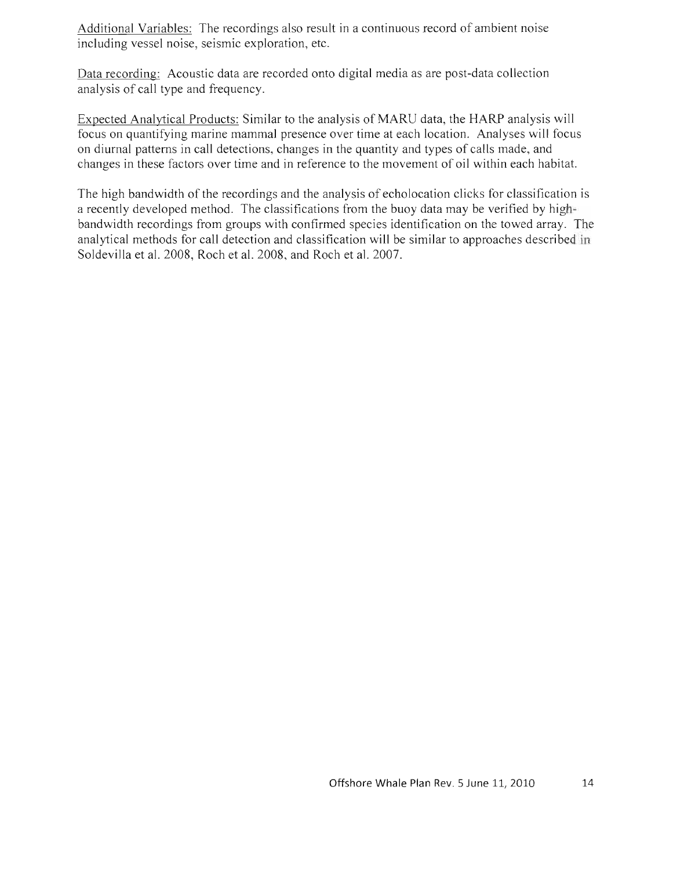Additional Variables: The recordings also result in a continuous record of ambient noise including vessel noise, seismic exploration, etc.

Data recording: Acoustic data are recorded onto digital media as are post-data collection analysis of call type and frequency.

Expected Analytical Products: Similar to the analysis of MARU data, the HARP analysis will focus on quantifying marine mammal presence over time at each location. Analyses will focus on diurnal patterns in call detections, changes in the quantity and types of calls made, and changes in these factors over time and in reference to the movement of oil within each habitat.

The high bandwidth of the recordings and the analysis of echolocation clicks for classification is a recently developed method. The classifications from the buoy data may be verified by highbandwidth recordings from groups with confirmed species identification on the towed array. The analytical methods for call detection and classification will be similar to approaches described in Soldevilla et al. 2008, Roch et al. 2008, and Roch et al. 2007.